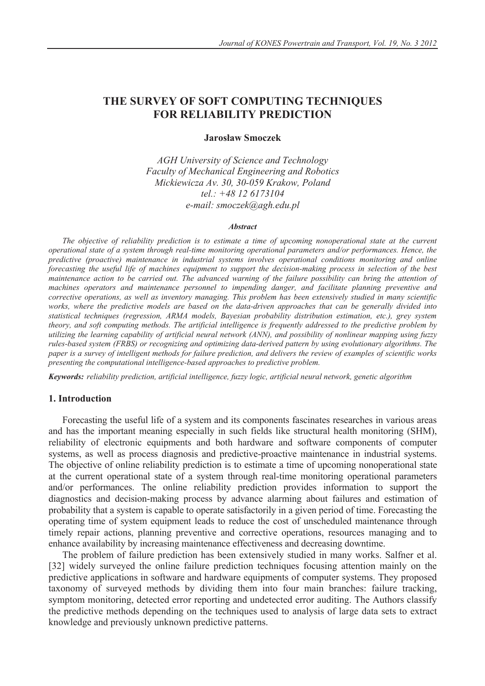# **THE SURVEY OF SOFT COMPUTING TECHNIQUES FOR RELIABILITY PREDICTION**

### **Jarosáaw Smoczek**

*AGH University of Science and Technology Faculty of Mechanical Engineering and Robotics Mickiewicza Av. 30, 30-059 Krakow, Poland tel.: +48 12 6173104 e-mail: smoczek@agh.edu.pl* 

#### *Abstract*

*The objective of reliability prediction is to estimate a time of upcoming nonoperational state at the current operational state of a system through real-time monitoring operational parameters and/or performances. Hence, the predictive (proactive) maintenance in industrial systems involves operational conditions monitoring and online forecasting the useful life of machines equipment to support the decision-making process in selection of the best maintenance action to be carried out. The advanced warning of the failure possibility can bring the attention of machines operators and maintenance personnel to impending danger, and facilitate planning preventive and corrective operations, as well as inventory managing. This problem has been extensively studied in many scientific works, where the predictive models are based on the data-driven approaches that can be generally divided into statistical techniques (regression, ARMA models, Bayesian probability distribution estimation, etc.), grey system theory, and soft computing methods. The artificial intelligence is frequently addressed to the predictive problem by utilizing the learning capability of artificial neural network (ANN), and possibility of nonlinear mapping using fuzzy rules-based system (FRBS) or recognizing and optimizing data-derived pattern by using evolutionary algorithms. The paper is a survey of intelligent methods for failure prediction, and delivers the review of examples of scientific works presenting the computational intelligence-based approaches to predictive problem.* 

*Keywords: reliability prediction, artificial intelligence, fuzzy logic, artificial neural network, genetic algorithm*

### **1. Introduction**

Forecasting the useful life of a system and its components fascinates researches in various areas and has the important meaning especially in such fields like structural health monitoring (SHM), reliability of electronic equipments and both hardware and software components of computer systems, as well as process diagnosis and predictive-proactive maintenance in industrial systems. The objective of online reliability prediction is to estimate a time of upcoming nonoperational state at the current operational state of a system through real-time monitoring operational parameters and/or performances. The online reliability prediction provides information to support the diagnostics and decision-making process by advance alarming about failures and estimation of probability that a system is capable to operate satisfactorily in a given period of time. Forecasting the operating time of system equipment leads to reduce the cost of unscheduled maintenance through timely repair actions, planning preventive and corrective operations, resources managing and to enhance availability by increasing maintenance effectiveness and decreasing downtime.

The problem of failure prediction has been extensively studied in many works. Salfner et al. [32] widely surveyed the online failure prediction techniques focusing attention mainly on the predictive applications in software and hardware equipments of computer systems. They proposed taxonomy of surveyed methods by dividing them into four main branches: failure tracking, symptom monitoring, detected error reporting and undetected error auditing. The Authors classify the predictive methods depending on the techniques used to analysis of large data sets to extract knowledge and previously unknown predictive patterns.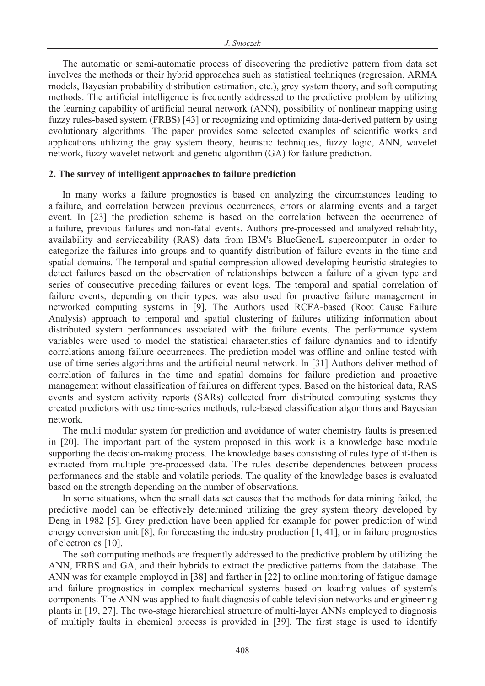The automatic or semi-automatic process of discovering the predictive pattern from data set involves the methods or their hybrid approaches such as statistical techniques (regression, ARMA models, Bayesian probability distribution estimation, etc.), grey system theory, and soft computing methods. The artificial intelligence is frequently addressed to the predictive problem by utilizing the learning capability of artificial neural network (ANN), possibility of nonlinear mapping using fuzzy rules-based system (FRBS) [43] or recognizing and optimizing data-derived pattern by using evolutionary algorithms. The paper provides some selected examples of scientific works and applications utilizing the gray system theory, heuristic techniques, fuzzy logic, ANN, wavelet network, fuzzy wavelet network and genetic algorithm (GA) for failure prediction.

### **2. The survey of intelligent approaches to failure prediction**

In many works a failure prognostics is based on analyzing the circumstances leading to a failure, and correlation between previous occurrences, errors or alarming events and a target event. In [23] the prediction scheme is based on the correlation between the occurrence of a failure, previous failures and non-fatal events. Authors pre-processed and analyzed reliability, availability and serviceability (RAS) data from IBM's BlueGene/L supercomputer in order to categorize the failures into groups and to quantify distribution of failure events in the time and spatial domains. The temporal and spatial compression allowed developing heuristic strategies to detect failures based on the observation of relationships between a failure of a given type and series of consecutive preceding failures or event logs. The temporal and spatial correlation of failure events, depending on their types, was also used for proactive failure management in networked computing systems in [9]. The Authors used RCFA-based (Root Cause Failure Analysis) approach to temporal and spatial clustering of failures utilizing information about distributed system performances associated with the failure events. The performance system variables were used to model the statistical characteristics of failure dynamics and to identify correlations among failure occurrences. The prediction model was offline and online tested with use of time-series algorithms and the artificial neural network. In [31] Authors deliver method of correlation of failures in the time and spatial domains for failure prediction and proactive management without classification of failures on different types. Based on the historical data, RAS events and system activity reports (SARs) collected from distributed computing systems they created predictors with use time-series methods, rule-based classification algorithms and Bayesian network.

The multi modular system for prediction and avoidance of water chemistry faults is presented in [20]. The important part of the system proposed in this work is a knowledge base module supporting the decision-making process. The knowledge bases consisting of rules type of if-then is extracted from multiple pre-processed data. The rules describe dependencies between process performances and the stable and volatile periods. The quality of the knowledge bases is evaluated based on the strength depending on the number of observations.

In some situations, when the small data set causes that the methods for data mining failed, the predictive model can be effectively determined utilizing the grey system theory developed by Deng in 1982 [5]. Grey prediction have been applied for example for power prediction of wind energy conversion unit [8], for forecasting the industry production [1, 41], or in failure prognostics of electronics [10].

The soft computing methods are frequently addressed to the predictive problem by utilizing the ANN, FRBS and GA, and their hybrids to extract the predictive patterns from the database. The ANN was for example employed in [38] and farther in [22] to online monitoring of fatigue damage and failure prognostics in complex mechanical systems based on loading values of system's components. The ANN was applied to fault diagnosis of cable television networks and engineering plants in [19, 27]. The two-stage hierarchical structure of multi-layer ANNs employed to diagnosis of multiply faults in chemical process is provided in [39]. The first stage is used to identify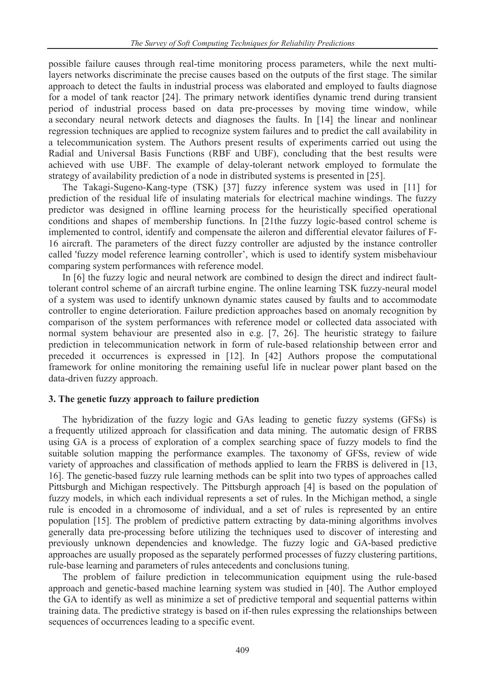possible failure causes through real-time monitoring process parameters, while the next multilayers networks discriminate the precise causes based on the outputs of the first stage. The similar approach to detect the faults in industrial process was elaborated and employed to faults diagnose for a model of tank reactor [24]. The primary network identifies dynamic trend during transient period of industrial process based on data pre-processes by moving time window, while a secondary neural network detects and diagnoses the faults. In [14] the linear and nonlinear regression techniques are applied to recognize system failures and to predict the call availability in a telecommunication system. The Authors present results of experiments carried out using the Radial and Universal Basis Functions (RBF and UBF), concluding that the best results were achieved with use UBF. The example of delay-tolerant network employed to formulate the strategy of availability prediction of a node in distributed systems is presented in [25].

The Takagi-Sugeno-Kang-type (TSK) [37] fuzzy inference system was used in [11] for prediction of the residual life of insulating materials for electrical machine windings. The fuzzy predictor was designed in offline learning process for the heuristically specified operational conditions and shapes of membership functions. In [21the fuzzy logic-based control scheme is implemented to control, identify and compensate the aileron and differential elevator failures of F-16 aircraft. The parameters of the direct fuzzy controller are adjusted by the instance controller called 'fuzzy model reference learning controller', which is used to identify system misbehaviour comparing system performances with reference model.

In [6] the fuzzy logic and neural network are combined to design the direct and indirect faulttolerant control scheme of an aircraft turbine engine. The online learning TSK fuzzy-neural model of a system was used to identify unknown dynamic states caused by faults and to accommodate controller to engine deterioration. Failure prediction approaches based on anomaly recognition by comparison of the system performances with reference model or collected data associated with normal system behaviour are presented also in e.g. [7, 26]. The heuristic strategy to failure prediction in telecommunication network in form of rule-based relationship between error and preceded it occurrences is expressed in [12]. In [42] Authors propose the computational framework for online monitoring the remaining useful life in nuclear power plant based on the data-driven fuzzy approach.

### **3. The genetic fuzzy approach to failure prediction**

The hybridization of the fuzzy logic and GAs leading to genetic fuzzy systems (GFSs) is a frequently utilized approach for classification and data mining. The automatic design of FRBS using GA is a process of exploration of a complex searching space of fuzzy models to find the suitable solution mapping the performance examples. The taxonomy of GFSs, review of wide variety of approaches and classification of methods applied to learn the FRBS is delivered in [13, 16]. The genetic-based fuzzy rule learning methods can be split into two types of approaches called Pittsburgh and Michigan respectively. The Pittsburgh approach [4] is based on the population of fuzzy models, in which each individual represents a set of rules. In the Michigan method, a single rule is encoded in a chromosome of individual, and a set of rules is represented by an entire population [15]. The problem of predictive pattern extracting by data-mining algorithms involves generally data pre-processing before utilizing the techniques used to discover of interesting and previously unknown dependencies and knowledge. The fuzzy logic and GA-based predictive approaches are usually proposed as the separately performed processes of fuzzy clustering partitions, rule-base learning and parameters of rules antecedents and conclusions tuning.

The problem of failure prediction in telecommunication equipment using the rule-based approach and genetic-based machine learning system was studied in [40]. The Author employed the GA to identify as well as minimize a set of predictive temporal and sequential patterns within training data. The predictive strategy is based on if-then rules expressing the relationships between sequences of occurrences leading to a specific event.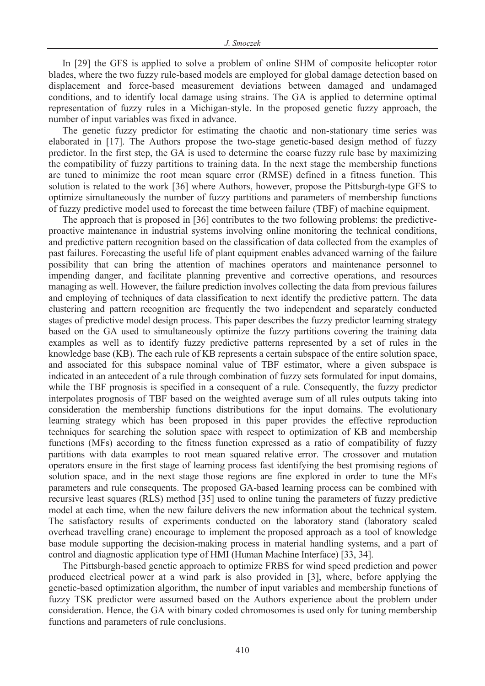In [29] the GFS is applied to solve a problem of online SHM of composite helicopter rotor blades, where the two fuzzy rule-based models are employed for global damage detection based on displacement and force-based measurement deviations between damaged and undamaged conditions, and to identify local damage using strains. The GA is applied to determine optimal representation of fuzzy rules in a Michigan-style. In the proposed genetic fuzzy approach, the number of input variables was fixed in advance.

The genetic fuzzy predictor for estimating the chaotic and non-stationary time series was elaborated in [17]. The Authors propose the two-stage genetic-based design method of fuzzy predictor. In the first step, the GA is used to determine the coarse fuzzy rule base by maximizing the compatibility of fuzzy partitions to training data. In the next stage the membership functions are tuned to minimize the root mean square error (RMSE) defined in a fitness function. This solution is related to the work [36] where Authors, however, propose the Pittsburgh-type GFS to optimize simultaneously the number of fuzzy partitions and parameters of membership functions of fuzzy predictive model used to forecast the time between failure (TBF) of machine equipment.

The approach that is proposed in [36] contributes to the two following problems: the predictiveproactive maintenance in industrial systems involving online monitoring the technical conditions, and predictive pattern recognition based on the classification of data collected from the examples of past failures. Forecasting the useful life of plant equipment enables advanced warning of the failure possibility that can bring the attention of machines operators and maintenance personnel to impending danger, and facilitate planning preventive and corrective operations, and resources managing as well. However, the failure prediction involves collecting the data from previous failures and employing of techniques of data classification to next identify the predictive pattern. The data clustering and pattern recognition are frequently the two independent and separately conducted stages of predictive model design process. This paper describes the fuzzy predictor learning strategy based on the GA used to simultaneously optimize the fuzzy partitions covering the training data examples as well as to identify fuzzy predictive patterns represented by a set of rules in the knowledge base (KB). The each rule of KB represents a certain subspace of the entire solution space, and associated for this subspace nominal value of TBF estimator, where a given subspace is indicated in an antecedent of a rule through combination of fuzzy sets formulated for input domains, while the TBF prognosis is specified in a consequent of a rule. Consequently, the fuzzy predictor interpolates prognosis of TBF based on the weighted average sum of all rules outputs taking into consideration the membership functions distributions for the input domains. The evolutionary learning strategy which has been proposed in this paper provides the effective reproduction techniques for searching the solution space with respect to optimization of KB and membership functions (MFs) according to the fitness function expressed as a ratio of compatibility of fuzzy partitions with data examples to root mean squared relative error. The crossover and mutation operators ensure in the first stage of learning process fast identifying the best promising regions of solution space, and in the next stage those regions are fine explored in order to tune the MFs parameters and rule consequents. The proposed GA-based learning process can be combined with recursive least squares (RLS) method [35] used to online tuning the parameters of fuzzy predictive model at each time, when the new failure delivers the new information about the technical system. The satisfactory results of experiments conducted on the laboratory stand (laboratory scaled overhead travelling crane) encourage to implement the proposed approach as a tool of knowledge base module supporting the decision-making process in material handling systems, and a part of control and diagnostic application type of HMI (Human Machine Interface) [33, 34].

The Pittsburgh-based genetic approach to optimize FRBS for wind speed prediction and power produced electrical power at a wind park is also provided in [3], where, before applying the genetic-based optimization algorithm, the number of input variables and membership functions of fuzzy TSK predictor were assumed based on the Authors experience about the problem under consideration. Hence, the GA with binary coded chromosomes is used only for tuning membership functions and parameters of rule conclusions.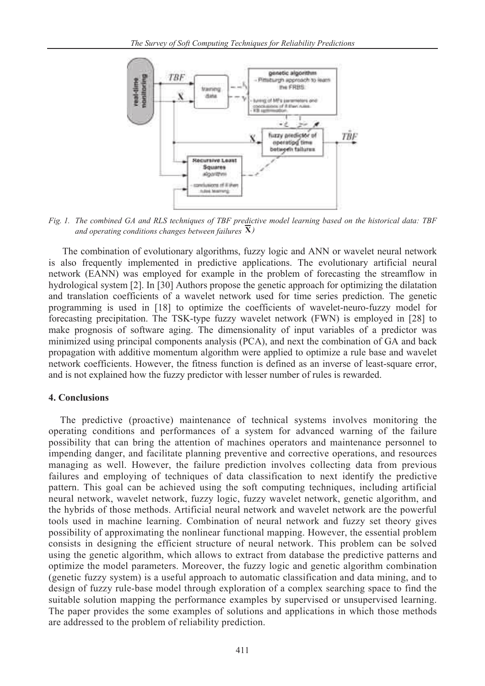

*Fig. 1. The combined GA and RLS techniques of TBF predictive model learning based on the historical data: TBF and operating conditions changes between failures*  $\overline{X}$ *)* 

The combination of evolutionary algorithms, fuzzy logic and ANN or wavelet neural network is also frequently implemented in predictive applications. The evolutionary artificial neural network (EANN) was employed for example in the problem of forecasting the streamflow in hydrological system [2]. In [30] Authors propose the genetic approach for optimizing the dilatation and translation coefficients of a wavelet network used for time series prediction. The genetic programming is used in [18] to optimize the coefficients of wavelet-neuro-fuzzy model for forecasting precipitation. The TSK-type fuzzy wavelet network (FWN) is employed in [28] to make prognosis of software aging. The dimensionality of input variables of a predictor was minimized using principal components analysis (PCA), and next the combination of GA and back propagation with additive momentum algorithm were applied to optimize a rule base and wavelet network coefficients. However, the fitness function is defined as an inverse of least-square error, and is not explained how the fuzzy predictor with lesser number of rules is rewarded.

## **4. Conclusions**

The predictive (proactive) maintenance of technical systems involves monitoring the operating conditions and performances of a system for advanced warning of the failure possibility that can bring the attention of machines operators and maintenance personnel to impending danger, and facilitate planning preventive and corrective operations, and resources managing as well. However, the failure prediction involves collecting data from previous failures and employing of techniques of data classification to next identify the predictive pattern. This goal can be achieved using the soft computing techniques, including artificial neural network, wavelet network, fuzzy logic, fuzzy wavelet network, genetic algorithm, and the hybrids of those methods. Artificial neural network and wavelet network are the powerful tools used in machine learning. Combination of neural network and fuzzy set theory gives possibility of approximating the nonlinear functional mapping. However, the essential problem consists in designing the efficient structure of neural network. This problem can be solved using the genetic algorithm, which allows to extract from database the predictive patterns and optimize the model parameters. Moreover, the fuzzy logic and genetic algorithm combination (genetic fuzzy system) is a useful approach to automatic classification and data mining, and to design of fuzzy rule-base model through exploration of a complex searching space to find the suitable solution mapping the performance examples by supervised or unsupervised learning. The paper provides the some examples of solutions and applications in which those methods are addressed to the problem of reliability prediction.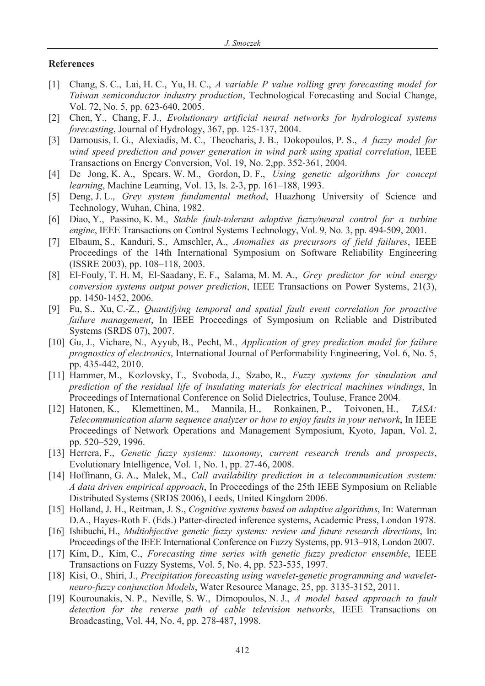#### **References**

- [1] Chang, S. C., Lai, H. C., Yu, H. C., *A variable P value rolling grey forecasting model for Taiwan semiconductor industry production*, Technological Forecasting and Social Change, Vol. 72, No. 5, pp. 623-640, 2005.
- [2] Chen, Y., Chang, F. J., *Evolutionary artificial neural networks for hydrological systems forecasting*, Journal of Hydrology, 367, pp. 125-137, 2004.
- [3] Damousis, I. G., Alexiadis, M. C., Theocharis, J. B., Dokopoulos, P. S., *A fuzzy model for wind speed prediction and power generation in wind park using spatial correlation*, IEEE Transactions on Energy Conversion, Vol. 19, No. 2,pp. 352-361, 2004.
- [4] De Jong, K. A., Spears, W. M., Gordon, D. F., *Using genetic algorithms for concept learning*, Machine Learning, Vol. 13, Is. 2-3, pp. 161–188, 1993.
- [5] Deng, J. L., *Grey system fundamental method*, Huazhong University of Science and Technology, Wuhan, China, 1982.
- [6] Diao, Y., Passino, K. M., *Stable fault-tolerant adaptive fuzzy/neural control for a turbine engine*, IEEE Transactions on Control Systems Technology, Vol. 9, No. 3, pp. 494-509, 2001.
- [7] Elbaum, S., Kanduri, S., Amschler, A., *Anomalies as precursors of field failures*, IEEE Proceedings of the 14th International Symposium on Software Reliability Engineering (ISSRE 2003), pp. 108–118, 2003.
- [8] El-Fouly, T. H. M, El-Saadany, E. F., Salama, M. M. A., *Grey predictor for wind energy conversion systems output power prediction*, IEEE Transactions on Power Systems, 21(3), pp. 1450-1452, 2006.
- [9] Fu, S., Xu, C.-Z., *Quantifying temporal and spatial fault event correlation for proactive failure management*, In IEEE Proceedings of Symposium on Reliable and Distributed Systems (SRDS 07), 2007.
- [10] Gu, J., Vichare, N., Ayyub, B., Pecht, M., *Application of grey prediction model for failure prognostics of electronics*, International Journal of Performability Engineering, Vol. 6, No. 5, pp. 435-442, 2010.
- [11] Hammer, M., Kozlovsky, T., Svoboda, J., Szabo, R., *Fuzzy systems for simulation and prediction of the residual life of insulating materials for electrical machines windings*, In Proceedings of International Conference on Solid Dielectrics, Touluse, France 2004.
- [12] Hatonen, K., Klemettinen, M., Mannila, H., Ronkainen, P., Toivonen, H., *TASA: Telecommunication alarm sequence analyzer or how to enjoy faults in your network*, In IEEE Proceedings of Network Operations and Management Symposium, Kyoto, Japan, Vol. 2, pp. 520–529, 1996.
- [13] Herrera, F., *Genetic fuzzy systems: taxonomy, current research trends and prospects*, Evolutionary Intelligence, Vol. 1, No. 1, pp. 27-46, 2008.
- [14] Hoffmann, G. A., Malek, M., *Call availability prediction in a telecommunication system: A data driven empirical approach*, In Proceedings of the 25th IEEE Symposium on Reliable Distributed Systems (SRDS 2006), Leeds, United Kingdom 2006.
- [15] Holland, J. H., Reitman, J. S., *Cognitive systems based on adaptive algorithms*, In: Waterman D.A., Hayes-Roth F. (Eds.) Patter-directed inference systems, Academic Press, London 1978.
- [16] Ishibuchi, H., *Multiobjective genetic fuzzy systems: review and future research directions*, In: Proceedings of the IEEE International Conference on Fuzzy Systems, pp. 913–918, London 2007.
- [17] Kim, D., Kim, C., *Forecasting time series with genetic fuzzy predictor ensemble*, IEEE Transactions on Fuzzy Systems, Vol. 5, No. 4, pp. 523-535, 1997.
- [18] Kisi, O., Shiri, J., *Precipitation forecasting using wavelet-genetic programming and waveletneuro-fuzzy conjunction Models*, Water Resource Manage, 25, pp. 3135-3152, 2011.
- [19] Kourounakis, N. P., Neville, S. W., Dimopoulos, N. J., *A model based approach to fault detection for the reverse path of cable television networks*, IEEE Transactions on Broadcasting, Vol. 44, No. 4, pp. 278-487, 1998.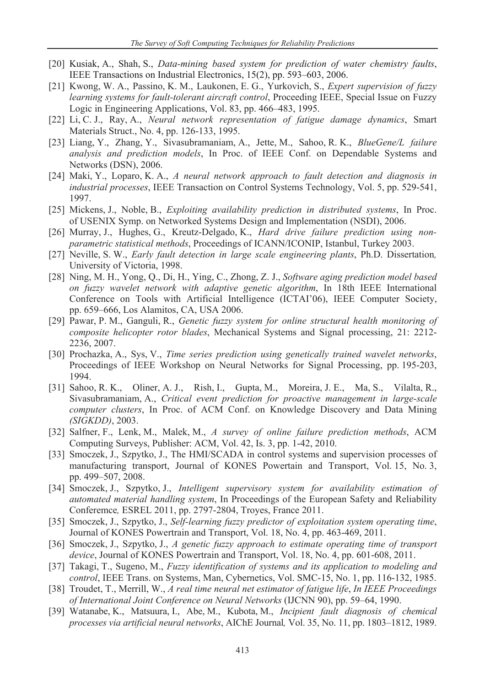- [20] Kusiak, A., Shah, S., *Data-mining based system for prediction of water chemistry faults*, IEEE Transactions on Industrial Electronics, 15(2), pp. 593–603, 2006.
- [21] Kwong, W. A., Passino, K. M., Laukonen, E. G., Yurkovich, S., *Expert supervision of fuzzy learning systems for fault-tolerant aircraft control*, Proceeding IEEE, Special Issue on Fuzzy Logic in Engineering Applications, Vol. 83, pp. 466–483, 1995.
- [22] Li, C. J., Ray, A., *Neural network representation of fatigue damage dynamics*, Smart Materials Struct., No. 4, pp. 126-133, 1995.
- [23] Liang, Y., Zhang, Y., Sivasubramaniam, A., Jette, M., Sahoo, R. K., *BlueGene/L failure analysis and prediction models*, In Proc. of IEEE Conf. on Dependable Systems and Networks (DSN), 2006.
- [24] Maki, Y., Loparo, K. A., *A neural network approach to fault detection and diagnosis in industrial processes*, IEEE Transaction on Control Systems Technology, Vol. 5, pp. 529-541, 1997.
- [25] Mickens, J., Noble, B., *Exploiting availability prediction in distributed systems*, In Proc. of USENIX Symp. on Networked Systems Design and Implementation (NSDI), 2006.
- [26] Murray, J., Hughes, G., Kreutz-Delgado, K., *Hard drive failure prediction using nonparametric statistical methods*, Proceedings of ICANN/ICONIP, Istanbul, Turkey 2003.
- [27] Neville, S. W., *Early fault detection in large scale engineering plants*, Ph.D. Dissertation*,*  University of Victoria, 1998.
- [28] Ning, M. H., Yong, Q., Di, H., Ying, C., Zhong, Z. J., *Software aging prediction model based on fuzzy wavelet network with adaptive genetic algorithm*, In 18th IEEE International Conference on Tools with Artificial Intelligence (ICTAI'06), IEEE Computer Society, pp. 659–666, Los Alamitos, CA, USA 2006.
- [29] Pawar, P. M., Ganguli, R., *Genetic fuzzy system for online structural health monitoring of composite helicopter rotor blades*, Mechanical Systems and Signal processing, 21: 2212- 2236, 2007.
- [30] Prochazka, A., Sys, V., *Time series prediction using genetically trained wavelet networks*, Proceedings of IEEE Workshop on Neural Networks for Signal Processing, pp. 195-203, 1994.
- [31] Sahoo, R. K., Oliner, A. J., Rish, I., Gupta, M., Moreira, J. E., Ma, S., Vilalta, R., Sivasubramaniam, A., *Critical event prediction for proactive management in large-scale computer clusters*, In Proc. of ACM Conf. on Knowledge Discovery and Data Mining *(SIGKDD)*, 2003.
- [32] Salfner, F., Lenk, M., Malek, M., *A survey of online failure prediction methods*, ACM Computing Surveys, Publisher: ACM, Vol. 42, Is. 3, pp. 1-42, 2010.
- [33] Smoczek, J., Szpytko, J., The HMI/SCADA in control systems and supervision processes of manufacturing transport, Journal of KONES Powertain and Transport, Vol. 15, No. 3, pp. 499–507, 2008.
- [34] Smoczek, J., Szpytko, J., *Intelligent supervisory system for availability estimation of automated material handling system*, In Proceedings of the European Safety and Reliability Conferemce*,* ESREL 2011, pp. 2797-2804, Troyes, France 2011.
- [35] Smoczek, J., Szpytko, J., *Self-learning fuzzy predictor of exploitation system operating time*, Journal of KONES Powertrain and Transport, Vol. 18, No. 4, pp. 463-469, 2011.
- [36] Smoczek, J., Szpytko, J., *A genetic fuzzy approach to estimate operating time of transport device*, Journal of KONES Powertrain and Transport, Vol. 18, No. 4, pp. 601-608, 2011.
- [37] Takagi, T., Sugeno, M., *Fuzzy identification of systems and its application to modeling and control*, IEEE Trans. on Systems, Man, Cybernetics, Vol. SMC-15, No. 1, pp. 116-132, 1985.
- [38] Troudet, T., Merrill, W., *A real time neural net estimator of fatigue life*, *In IEEE Proceedings of International Joint Conference on Neural Networks* (IJCNN 90), pp. 59–64, 1990.
- [39] Watanabe, K., Matsuura, I., Abe, M., Kubota, M., *Incipient fault diagnosis of chemical processes via artificial neural networks*, AIChE Journal*,* Vol. 35, No. 11, pp. 1803–1812, 1989.